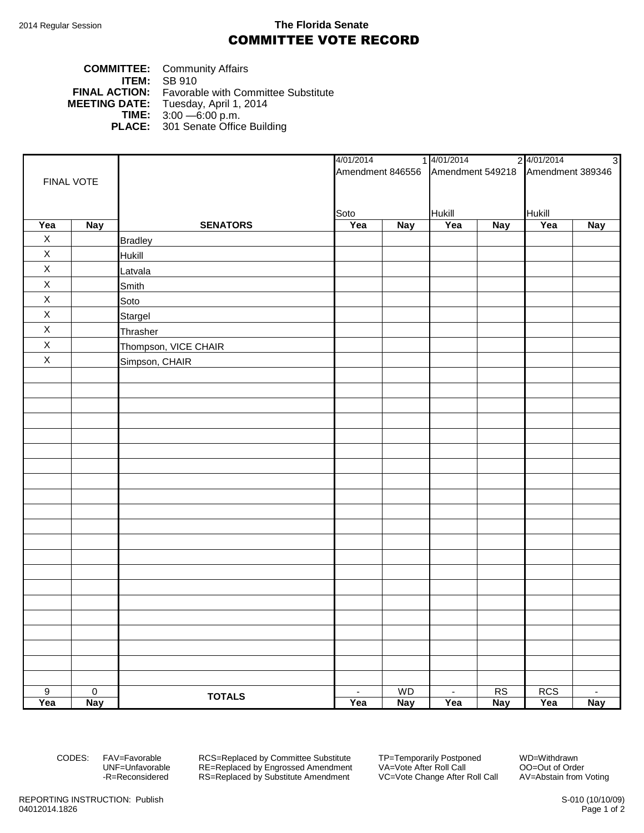## 2014 Regular Session **The Florida Senate** COMMITTEE VOTE RECORD

## **COMMITTEE:** Community Affairs **ITEM: SB 910**<br>**FINAL ACTION:** Favorat **FINAL ACTION:** Favorable with Committee Substitute<br>**MEETING DATE:** Tuesday, April 1, 2014 **DATE:** Tuesday, April 1, 2014<br>**TIME:** 3:00 - 6:00 p.m. **TIME:** 3:00 —6:00 p.m. **PLACE:** 301 Senate Office Building

|                       |                              |                      |                       |                  | 4/01/2014 14/01/2014 24/01/2014                    |                  | $\overline{3}$    |                      |
|-----------------------|------------------------------|----------------------|-----------------------|------------------|----------------------------------------------------|------------------|-------------------|----------------------|
|                       |                              |                      |                       |                  | Amendment 846556 Amendment 549218 Amendment 389346 |                  |                   |                      |
| FINAL VOTE            |                              |                      |                       |                  |                                                    |                  |                   |                      |
|                       |                              |                      |                       |                  |                                                    |                  |                   |                      |
|                       |                              |                      | Soto                  |                  | Hukill                                             |                  | Hukill            |                      |
| Yea                   | <b>Nay</b>                   | <b>SENATORS</b>      | Yea                   | <b>Nay</b>       | Yea                                                | <b>Nay</b>       | Yea               | <b>Nay</b>           |
| $\mathsf X$           |                              | <b>Bradley</b>       |                       |                  |                                                    |                  |                   |                      |
| $\mathsf X$           |                              | Hukill               |                       |                  |                                                    |                  |                   |                      |
| $\mathsf X$           |                              | Latvala              |                       |                  |                                                    |                  |                   |                      |
| $\mathsf X$           |                              | Smith                |                       |                  |                                                    |                  |                   |                      |
| $\mathsf X$           |                              | Soto                 |                       |                  |                                                    |                  |                   |                      |
| $\mathsf X$           |                              | Stargel              |                       |                  |                                                    |                  |                   |                      |
| $\mathsf X$           |                              | Thrasher             |                       |                  |                                                    |                  |                   |                      |
| $\overline{X}$        |                              | Thompson, VICE CHAIR |                       |                  |                                                    |                  |                   |                      |
| $\mathsf X$           |                              | Simpson, CHAIR       |                       |                  |                                                    |                  |                   |                      |
|                       |                              |                      |                       |                  |                                                    |                  |                   |                      |
|                       |                              |                      |                       |                  |                                                    |                  |                   |                      |
|                       |                              |                      |                       |                  |                                                    |                  |                   |                      |
|                       |                              |                      |                       |                  |                                                    |                  |                   |                      |
|                       |                              |                      |                       |                  |                                                    |                  |                   |                      |
|                       |                              |                      |                       |                  |                                                    |                  |                   |                      |
|                       |                              |                      |                       |                  |                                                    |                  |                   |                      |
|                       |                              |                      |                       |                  |                                                    |                  |                   |                      |
|                       |                              |                      |                       |                  |                                                    |                  |                   |                      |
|                       |                              |                      |                       |                  |                                                    |                  |                   |                      |
|                       |                              |                      |                       |                  |                                                    |                  |                   |                      |
|                       |                              |                      |                       |                  |                                                    |                  |                   |                      |
|                       |                              |                      |                       |                  |                                                    |                  |                   |                      |
|                       |                              |                      |                       |                  |                                                    |                  |                   |                      |
|                       |                              |                      |                       |                  |                                                    |                  |                   |                      |
|                       |                              |                      |                       |                  |                                                    |                  |                   |                      |
|                       |                              |                      |                       |                  |                                                    |                  |                   |                      |
|                       |                              |                      |                       |                  |                                                    |                  |                   |                      |
|                       |                              |                      |                       |                  |                                                    |                  |                   |                      |
|                       |                              |                      |                       |                  |                                                    |                  |                   |                      |
|                       |                              |                      |                       |                  |                                                    |                  |                   |                      |
| $\overline{9}$<br>Yea | $\overline{0}$<br><b>Nay</b> | <b>TOTALS</b>        | $\blacksquare$<br>Yea | WD<br><b>Nay</b> | $\sim$<br>Yea                                      | RS<br><b>Nay</b> | <b>RCS</b><br>Yea | $\sim$<br><b>Nay</b> |
|                       |                              |                      |                       |                  |                                                    |                  |                   |                      |

CODES: FAV=Favorable RCS=Replaced by Committee Substitute TP=Temporarily Postponed WD=Withdrawn<br>UNF=Unfavorable RE=Replaced by Engrossed Amendment VA=Vote After Roll Call 00=Out of Order UNF=Unfavorable RE=Replaced by Engrossed Amendment<br>-R=Reconsidered RS=Replaced by Substitute Amendment RS=Replaced by Substitute Amendment VC=Vote Change After Roll Call AV=Abstain from Voting